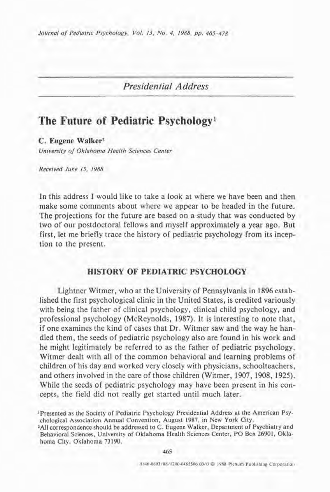*Presidential Address* 

# **The Future of Pediatric Psychology1**

#### **C. Eugene WalkerZ**

*University of Oklahoma Health Sciences Center* 

*Received June IS, I988* 

In this address I would like to take a look at where we have been and then make some comments about where we appear to be headed in the future. The projections for the future are based on a study that was conducted by two of our postdoctoral fellows and myself approximately a year ago. But first, let me briefly trace the history of pediatric psychology from its inception to the present.

### **HISTORY OF PEDIATRIC PSYCHOLOGY**

Lightner Witmer, who at the University of Pennsylvania in 1896 established the first psychological clinic in the United States, is credited variously with being the father of clinical psychology, clinical child psychology, and professional psychology (McReynolds, 1987). It is interesting to note that, if one examines the kind of cases that Dr. Witmer saw and the way he handled them, the seeds of pediatric psychology also are found in his work and he might legitimately be referred to as the father of pediatric psychology. Witmer dealt with all of the common behavioral and learning problems of children of his day and worked very closely with physicians, schoolteachers, and others involved in the care of those children (Witmer, 1907, 1908, 1925). While the seeds of pediatric psychology may have been present in his concepts, the field did not really get started until much later.

IPresented as the Society of Pediatric Psychology Presidential Address at the American Psychological Association Annual Convention, August 1987, in New York City.

<sup>&</sup>lt;sup>2</sup>All correspondence should be addressed to C. Eugene Walker, Department of Psychiatry and Behavioral Sciences, University of Oklahoma Health Sciences Center, PO Box 26901, Oklahoma City, Oklahoma 73190.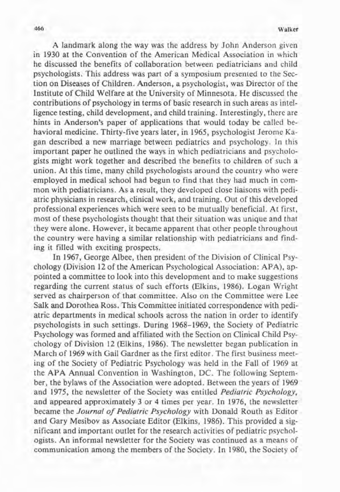A landmark along the way was the address by John Anderson given in 1930 at the Convention of the American Medical Association in which he discussed the benefits of collaboration between pediatricians and child psychologists. This address was part of a symposium presented to the Section on Diseases of Children. Anderson, a psychologist, was Director of the Institute of Child Welfare at the University of Minnesota. He discussed the contributions of psychology in terms of basic research in such areas as intelligence testing, child development, and child training. Interestingly, there are hints in Anderson's paper of applications that would today be called behavioral medicine. Thirty-five years later, in 1965, psychologist Jerome Kagan described a new marriage between pediatrics and psychology. In this important paper he outlined the ways in which pediatricians and psychologists might work together and described the benefits to children of such a union. At this time, many child psychologists around the country who were employed in medical school had begun to find that they had much in common with pediatricians. As a result, they developed close liaisons with pediatric physicians in research, clinical work, and training. Out of this developed professional experiences which were seen to be mutually beneficial. At first, most of these psychologists thought that their situation was unique and that they were alone. However, it became apparent that other people throughout the country were having a similar relationship with pediatricians and finding it filled with exciting prospects.

In 1967, George Albee, then president of the Division of Clinical Psychology (Division 12 of the American Psychological Association: APA), appointed a committee to look into this development and to make suggestions regarding the current status of such efforts (Elkins, 1986). Logan Wright served as chairperson of that committee. Also on the Committee were Lee Salk and Dorothea Ross. This Committee initiated correspondence with pediatric departments in medical schools across the nation in order to identify psychologists in such settings. During 1968-1969, the Society of Pediatric Psychology was formed and affiliated with the Section on Clinical Child Psychology of Division 12 (Elkins, 1986). The newsletter began publication in March of 1969 with Gail Gardner as the first editor. The first business meeting of the Society of Pediatric Psychology was held in the Fall of 1969 at the APA Annual Convention in Washington, DC. The following September, the bylaws of the Association were adopted. Between the years of 1969 and 1975, the newsletter of the Society was entitled *Pediatric Psychology,*  and appeared approximately 3 or 4 times per year. In 1976, the newsletter became the *Journal of Pediatric Psychology* with Donald Routh as Editor and Gary Mesibov as Associate Editor (Elkins, 1986). This provided a significant and important outlet for the research activities of pediatric psychologists. An informal newsletter for the Society was continued as a means of communication among the members of the Society. In 1980, the Society of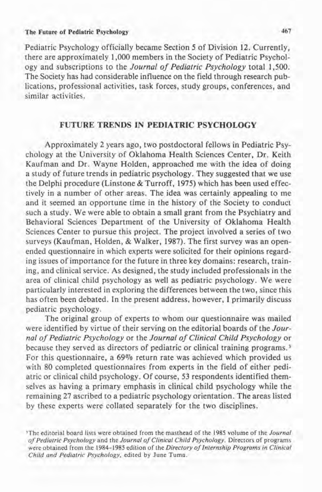Pediatric Psychology officially became Section 5 of Division 12. Currently, there are approximately 1,000 members in the Society of Pediatric Psychology and subscriptions to the *Journal of Pediatric Psychology* total 1,500. The Society has had considerable influence on the field through research publications, professional activities, task forces, study groups, conferences, and similar activities.

## **FUTURE TRENDS IN PEDIATRIC PSYCHOLOGY**

Approximately 2 years ago, two postdoctoral fellows in Pediatric Psychology at the University of Oklahoma Health Sciences Center, Dr. Keith Kaufman and Dr. Wayne Holden, approached me with the idea of doing a study of future trends in pediatric psychology. They suggested that we use the Delphi procedure (Linstone & Turroff, 1975) which has been used effectively in a number of other areas. The idea was certainly appealing to me and it seemed an opportune time in the history of the Society to conduct such a study. We were able to obtain a small grant from the Psychiatry and Behavioral Sciences Department of the University of Oklahoma Health Sciences Center to pursue this project. The project involved a series of two surveys (Kaufman, Holden, & Walker, 1987). The first survey was an openended questionnaire in which experts were solicited for their opinions regarding issues of importance for the future in three key domains: research, training, and clinical service. As designed, the study included professionals in the area of clinical child psychology as well as pediatric psychology. We were particularly interested in exploring the differences between the two, since this has often been debated. In the present address, however, I primarily discuss pediatric psychology.

The original group of experts to whom our questionnaire was mailed were identified by virtue of their serving on the editorial boards of the *Jour*nal *of Pediatric Psychology* or the *Journal of Clinical Child Psychology* or because they served as directors of pediatric or clinical training programs.<sup>3</sup> For this questionnaire, a 69% return rate was achieved which provided us with 80 completed questionnaires from experts in the field of either pediatric or clinical child psychology. Of course, 53 respondents identified themselves as having a primary emphasis in clinical child psychology while the remaining 27 ascribed to a pediatric psychology orientation. The areas listed by these experts were collated separately for the two disciplines.

<sup>&</sup>gt;The editorial board lists were obtained from the masthead of the 1985 volume of the *Journal of Pediatric Psychology* and the *Journal of Clinical Child Psychology.* Directors of programs were obtained from the 1984-1985 edition of the *Directory of Internship Programs in Clinical Child and Pediatric Psychology,* edited by June Tuma.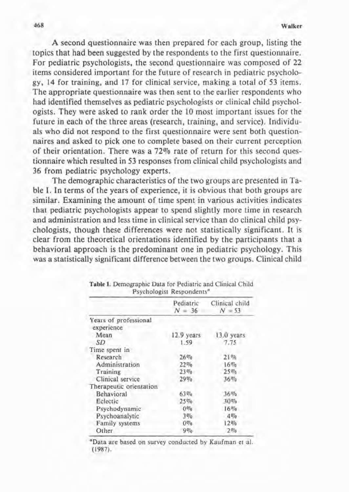**A** second questionnaire was then prepared for each group, listing the topics that had been suggested by the respondents to the first questionnaire. For pediatric psychologists, the second questionnaire was composed of **22**  items considered important for the future of research in pediatric psychology, 14 for training, and 17 for clinical service, making a total of 53 items. The appropriate questionnaire was then sent to the earlier respondents who had identified themselves as pediatric psychologists or clinical child psychologists. They were asked to rank order the 10 most important issues for the future in each of the three areas (research, training, and service). Individuals who did not respond to the first questionnaire were sent both questionnaires and asked to pick one to complete based on their current perception of their orientation. There was a 72% rate of return for this second questionnaire which resulted in 53 responses from clinical child psychologists and **36** from pediatric psychology experts.

The demographic characteristics of the two groups are presented in Table I. In terms of the years of experience, it is obvious that both groups are similar. Examining the amount of time spent in various activities indicates that pediatric psychologists appear to spend slightly more time in research and administration and less time in clinical service than do clinical child psychologists, though these differences were not statistically significant. It is clear from the theoretical orientations identified by the participants that a behavioral approach is the predominant one in pediatric psychology. This was a statistically significant difference between the two groups. Clinical child

| Psychologist Respondents <sup>"</sup> |                       |                            |
|---------------------------------------|-----------------------|----------------------------|
|                                       | Pediatric<br>$N = 36$ | Clinical child<br>$N = 53$ |
| Years of professional<br>experience   |                       |                            |
| Mean                                  | 12.9 years            | 13.0 years                 |
| SD                                    | 1.59                  | 7.75                       |
| Time spent in                         |                       |                            |
| Research                              | 26%                   | 21%                        |
| Administration                        | 22%                   | $16\%$                     |
| Training                              | 23%                   | 25%                        |
| Clinical service                      | 29%                   | 36%                        |
| Therapeutic orientation               |                       |                            |
| Behavioral                            | 63%                   | $36\%$                     |
| Eclectic                              | 25%                   | 30%                        |
| Psychodynamic                         | $0\%$                 | 16%                        |
| Psychoanalytic                        | 3%                    | $4\%$                      |
| Family systems                        | O <sub>0</sub>        | 12%                        |
| Other                                 | 9%                    | 20%                        |

**Table 1.** Demographic Data for Pediatric and Clinical Child

"Data are based on survey conducted by Kaufman et al (1987).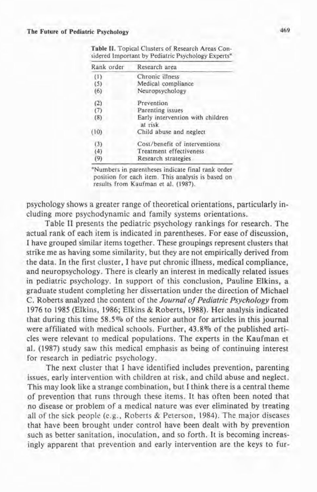| Rank order | Research area                               |
|------------|---------------------------------------------|
| (1)        | Chronic illness                             |
| (5)        | Medical compliance                          |
| (6)        | Neuropsychology                             |
| (2)        | Prevention                                  |
| (7)        | Parenting issues                            |
| (8)        | Early intervention with children<br>at risk |
| (10)       | Child abuse and neglect                     |
| (3)        | Cost/benefit of interventions               |
| (4)        | Treatment effectiveness                     |
| (9)        | Research strategies                         |

**Table 11.** Topical Clusters of Research Areas Considered Important by Pediatric Psychology Experts<sup>a</sup>

"Numbers in parentheses indicate final rank order position for each item. This analysis is based on results from Kaufman et al. (1987).

psychology shows a greater range of theoretical orientations, particularly including more psychodynamic and family systems orientations.

Table I1 presents the pediatric psychology rankings for research. The actual rank of each item is indicated in parentheses. For ease of discussion, I have grouped similar items together. These groupings represent clusters that strike me as having some similarity, but they are not empirically derived from the data. In the first cluster, I have put chronic illness, medical compliance, and neuropsychology. There is clearly an interest in medically related issues in pediatric psychology. In support of this conclusion, Pauline Elkins, a graduate student completing her dissertation under the direction of Michael *C.* Roberts analyzed the content of the *Journal of Pediatric Psychology* from **1976** to **1985** (Elkins, **1986;** Elkins & Roberts, **1988).** Her analysis indicated that during this time **58.5%** of the senior author for articles in this journal were affiliated with medical schools. Further, **43.8%** of the published articles were relevant to medical populations. The experts in the Kaufman et al. **(1987)** study saw this medical emphasis as being of continuing interest for research in pediatric psychology.

The next cluster that I have identified includes prevention, parenting issues, early intervention with children at risk, and child abuse and neglect. This may look like a strange combination, but I think there is a central theme of prevention that runs through these items. It has often been noted that no disease or problem of a medical nature was ever eliminated by treating all of the sick people (e.g., Roberts & Peterson, **1984).** The major diseases that have been brought under control have been dealt with by prevention such as better sanitation, inoculation, and so forth. It is becoming increasingly apparent that prevention and early intervention are the keys to fur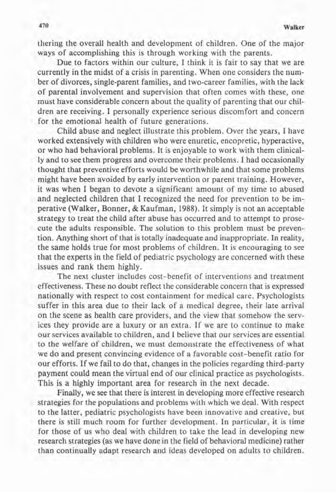thering the overall health and development of children. One of the major ways of accomplishing this is through working with the parents.

Due to factors within our culture, I think it is fair to say that we are currently in the midst of a crisis in parenting. When one considers the number of divorces, single-parent families, and two-career families, with the lack of parental involvement and supervision that often comes with these, one must have considerable concern about the quality of parenting that our children are receiving. I personally experience serious discomfort and concern for the emotional health of future generations.

Child abuse and neglect illustrate this problem. Over the years, I have worked extensively with children who were enuretic, encopretic, hyperactive, or who had behavioral problems. It is enjoyable to work with them clinically and to see them progress and overcome their problems. I had occasionally thought that preventive efforts would be worthwhile and that some problems might have been avoided by early intervention or parent training. However, it was when I began to devote a significant amount of my time to abused and neglected children that I recognized the need for prevention to be imperative (Walker, Bonner, & Kaufman, 1988). It simply is not an acceptable strategy to treat the child after abuse has occurred and to attempt to prosecute the adults responsible. The solution to this problem must be prevention. Anything short of that is totally inadequate and inappropriate. In reality, the same holds true for most problems of children. It is encouraging to see that the experts in the field of pediatric psychology are concerned with these issues and rank them highly.

The next cluster includes cost-benefit of interventions and treatment effectiveness. These no doubt reflect the considerable concern that is expressed nationally with respect to cost containment for medical care. Psychologists suffer in this area due to their lack of a medical degree, their late arrival on the scene as health care providers, and the view that somehow the services they provide are a luxury or an extra. If we are to continue to make our services available to children, and I believe that our services are essential to the welfare of children, we must demonstrate the effectiveness of what we do and present convincing evidence of a favorable cost-benefit ratio for our efforts. If we fail to do that, changes in the policies regarding third-party payment could mean the virtual end of our clinical practice as psychologists. This is a highly important area for research in the next decade.

Finally, we see that there is interest in developing more effective research strategies for the populations and problems with which we deal. With respect to the latter, pediatric psychologists have been innovative and creative, but there is still much room for further development. In particular, it is time for those of us who deal with children to take the lead in developing new research strategies (as we have done in the field of behavioral medicine) rather than continually adapt research and ideas developed on adults to children.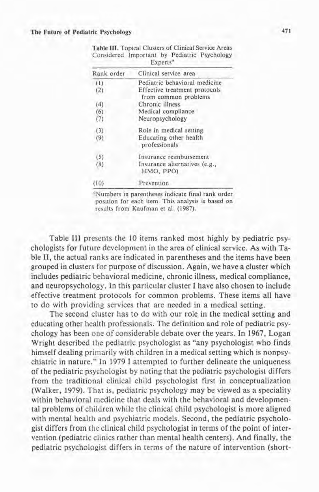| EXPETES        |                                                       |  |
|----------------|-------------------------------------------------------|--|
| Rank order     | Clinical service area                                 |  |
| (1)            | Pediatric behavioral medicine                         |  |
| (2)            | Effective treatment protocols<br>from common problems |  |
| (4)            | Chronic illness                                       |  |
| (6)            | Medical compliance                                    |  |
| (7)            | Neuropsychology                                       |  |
| (3)            | Role in medical setting.                              |  |
| (9)            | Educating other health<br>professionals               |  |
| (5)            | Insurance reimbursement                               |  |
| $\overline{8}$ | Insurance alternatives (e.g.,<br>HMO, PPO)            |  |
| (10)           | Prevention                                            |  |

Table **111.** Topical Clusters of Clinical Service Areas Considered Important by Pediatric Psychology Experts"

"Numbers in parentheses indicate final rank order position for each item. This analysis is based on results from Kaufman et al. (1987).

Table **111** presents the 10 items ranked most highly by pediatric psychologists for future development in the area of clinical service. As with Table 11, the actual ranks are indicated in parentheses and the items have been grouped in clusters for purpose of discussion. Again, we have a cluster which includes pediatric behavioral medicine, chronic illness, medical compliance, and neuropsychology. In this particular cluster I have also chosen to include effective treatment protocols for common problems. These items all have to do with providing services that are needed in a medical setting.

The second cluster has to do with our role in the medical setting and educating other health professionals. The definition and role of pediatric psychology has been one of considerable debate over the years. In 1967, Logan Wright described the pediatric psychologist as "any psychologist who finds himself dealing primarily with children in a medical setting which is nonpsychiatric in nature." In 1979 I attempted to further delineate the uniqueness of the pediatric psychologist by noting that the pediatric psychologist differs from the traditional clinical child psychologist first in conceptualization (Walker, 1979). That is, pediatric psychology may be viewed as a speciality within behavioral medicine that deals with the behavioral and developmental problems of children while the clinical child psychologist is more aligned with mental health and psychiatric models. Second, the pediatric psychologist differs from the clinical child psychologist in terms of the point of intervention (pediatric clinics rather than mental health centers). And finally, the pediatric psychologist differs in terms of the nature of intervention (short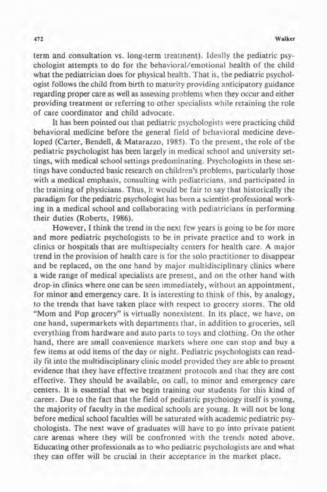term and consultation vs. long-term treatment). Ideally the pediatric psychologist attempts to do for the behavioral/emotional health of the child what the pediatrician does for physical health. That is, the pediatric psychologist follows the child from birth to maturity providing anticipatory guidance regarding proper care as well as assessing problems when they occur and either providing treatment or referring to other specialists while retaining the role of care coordinator and child advocate.

It has been pointed out that pediatric psychologists were practicing child behavioral medicine before the general field of behavioral medicine developed (Carter, Bendell, & Matarazzo, 1985). To the present, the role of the pediatric psychologist has been largely in medical school and university settings, with medical school settings predominating. Psychologists in these settings have conducted basic research on children's problems, particularly those with a medical emphasis, consulting with pediatricians, and participated in the training of physicians. Thus, it would be fair to say that historically the paradigm for the pediatric psychologist has been a scientist-professional working in a medical school and collaborating with pediatricians in performing their duties (Roberts, 1986).

However, I think the trend in the next few years is going to be for more and more pediatric psychologists to be in private practice and to work in clinics or hospitals that are multispecialty centers for health care. **A** major trend in the provision of health care is for the solo practitioner to disappear and be replaced, on the one hand by major multidisciplinary.clinics where a wide range of medical specialists are present, and on the other hand with drop-in clinics where one can be seen immediately, without an appointment, for minor and emergency care. It is interesting to think of this, by analogy, to the trends that have taken place with respect to grocery stores. The old "Mom and Pop grocery" is virtually nonexistent. In its place, we have, on one hand, supermarkets with departments that, in addition to groceries, sell everything from hardware and auto parts to toys and clothing. On the other hand, there are small convenience markets where one can stop and buy a few items at odd items of the day or night. Pediatric psychologists can readily fit into the multidisciplinary clinic model provided they are able to present evidence that they have effective treatment protocols and that they are cost effective. They should be available, on call, to minor and emergency care centers. It is essential that we begin training our students for this kind of career. Due to the fact that the field of pediatric psychology itself is young, the majority of faculty in the medical schools are young. It will not be long before medical school faculties will be saturated with academic pediatric psychologists. The next wave of graduates will have to go into private patient care arenas where they will be confronted with the trends noted above. Educating other professionals as to who pediatric psychologists are and what they can offer will be crucial in their acceptance in the market place.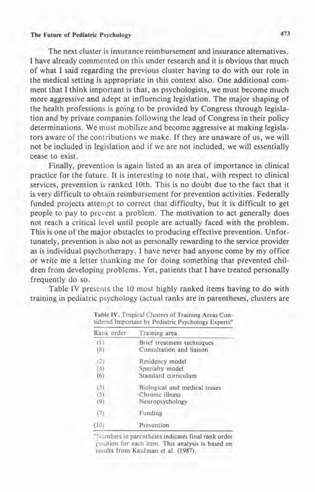The next cluster is insurance reimbursement and insurance alternatives. I have already commented on this under research and it is obvious that much of what I said regarding the previous cluster having to do with our role in the medical setting is appropriate in this context also. One additional comment that I think important is that, as psychologists, we must become much more aggressive and adept at influencing legislation. The major shaping of the health professions is going to be provided by Congress through legislation and by private companies following the lead of Congress in their policy determinations. We must mobilize and become aggressive at making legislators aware of the contributions we make. If they are unaware of us, we will not be included in legislation and if we are not included, we will essentially cease to exist.

Finally, prevention is again listed as an area of importance in clinical practice for the future. It is interesting to note that, with respect to clinical services, prevention is ranked 10th. This is no doubt due to the fact that it is very difficult to obtain reimbursement for prevention activities. Federally funded projects attempt to correct that difficulty, but it is difficult to get people to pay to prevent a problem. The motivation to act generally does not reach a critical level until people are actually faced with the problem. This is one of the major obstacles to producing effective prevention. Unfortunately, prevention is also not as personally rewarding to the service provider as is individual psychotherapy. I have never had anyone come by my office or write me a letter thanking me for doing something that prevented children from developing problems. Yet, patients that I have treated personally frequently do so.

Table IV presents the 10 most highly ranked items having to do with training in pediatric psychology (actual ranks are in parentheses, clusters are

| Rank order        | Training area                                                       |
|-------------------|---------------------------------------------------------------------|
| (1)<br>(8)        | Brief treatment techniques<br>Consultation and liaison              |
| 4)<br>(6)         | Residency model<br>Specialty model<br>Standard curriculum           |
| (3)<br>(5)<br>(9) | Biological and medical issues<br>Chronic illness<br>Neuropsychology |
|                   | Funding                                                             |
| (10)              | Prevention                                                          |

Table IV. Tropical Clusters of Training Areas Considered Important by Pediatric Psychology Experts<sup>®</sup>

"Numbers in parentheses indicates final rank order position for each item. This analysis is based on results from Kaufman et al. (1987).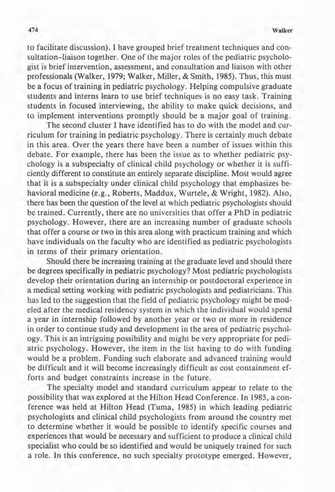to facilitate discussion). I have grouped brief treatment techniques and consultation-liaison together. One of the major roles of the pediatric psychologist is brief intervention, assessment, and consultation and liaison with other professionals (Walker, 1979; Walker, Miller, & Smith, 1985). Thus, this must be a focus of training in pediatric psychology. Helping compulsive graduate students and interns learn to use brief techniques is no easy task. Training students in focused interviewing, the ability to make quick decisions, and to implement interventions promptly should be a major goal of training.

The second cluster I have identified has to do with the model and curriculum for training in pediatric psychology. There is certainly much debate in this area. Over the years there have been a number of issues within this debate. For example, there has been the issue as to whether pediatric psychology is a subspecialty of clinical child psychology or whether it is sufficiently different to constitute an entirely separate discipline. Most would agree that it is a subspecialty under clinical child psychology that emphasizes behavioral medicine (e.g., Roberts, Maddux, Wurtele, & Wright, 1982). Also, there has been the question of the level at which pediatric psychologists should be trained. Currently, there are no universities that offer a PhD in pediatric psychology. However, there are an increasing number of graduate schools that offer a course or two in this area along with practicum training and which have individuals on the faculty who are identified as pediatric psychologists in terms of their primary orientation.

Should there be increasing training at the graduate level and should there be degrees specifically in pediatric psychology? Most pediatric psychologists develop their orientation during an internship or postdoctoral experience in a medical setting working with pediatric psychologists and pediatricians. This has led to the suggestion that the field of pediatric psychology might be modeled after the medical residency system in which the individual would spend a year in internship followed by another year or two or more in residence in order to continue study and development in the area of pediatric psychology. This is an intriguing possibility and might be very appropriate for pediatric psychology. However, the item in the list having to do with funding would be a problem. Funding such elaborate and advanced training would be difficult and it will become increasingly difficult as cost containment efforts and budget constraints increase in the future.

The specialty model and standard curriculum appear to relate to the possibility that was explored at the Hilton Head Conference. In 1985, a conference was held at Hilton Head (Tuma, 1985) in which leading pediatric psychologists and clinical child psychologists from around the country met to determine whether it would be possible to identify specific courses and experiences that would be necessary and sufficient to produce a clinical child specialist who could be so identified and would be uniquely trained for such a role. In this conference, no such specialty prototype emerged. However,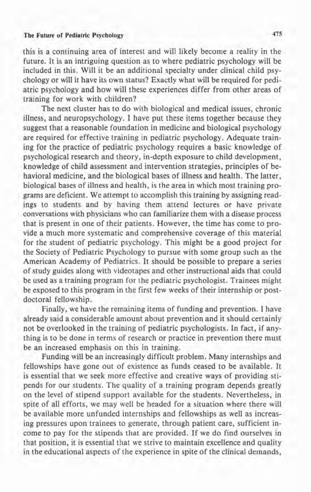this is a continuing area of interest and will likely become a reality in the future. It is an intriguing question as to where pediatric psychology will be included in this. Will it be an additional specialty under clinical child psychology or will it have its own status? Exactly what will be required for pediatric psychology and how will these experiences differ from other areas of training for work with children?

The next cluster has to do with biological and medical issues, chronic illness, and neuropsychology. I have put these items together because they suggest that a reasonable foundation in medicine and biological psychology are required for effective training in pediatric psychology. Adequate training for the practice of pediatric psychology requires a basic knowledge of psychological research and theory, in-depth exposure to child development, knowledge of child assessment and intervention strategies, principles of behavioral medicine, and the biological bases of illness and health. The latter, biological bases of illness and health, is the area in which most training programs are deficient. We attempt to accomplish this training by assigning readings to students and by having them attend lectures or have private conversations with physicians who can familiarize them with a disease process that is present in one of their patients. However, the time has come to provide a much more systematic and comprehensive coverage of this material for the student of pediatric psychology. This might be a good project for the Society of Pediatric Psychology to pursue with some group such as the American Academy of Pediatrics. It should be possible to prepare a series of study guides along with videotapes and other instructional aids that could be used as a training program for the pediatric psychologist. Trainees might be exposed to this program in the first few weeks of their internship or postdoctoral fellowship.

Finally, we have the remaining items of funding and prevention. I have already said a considerable amount about prevention and it should certainly not be overlooked in the training of pediatric psychologists. In fact, if anything is to be done in terms of research or practice in prevention there must be an increased emphasis on this in training.

Funding will be an increasingly difficult problem. Many internships and fellowships have gone out of existence as funds ceased to be available. It is essential that we seek more effective and creative ways of providing stipends for our students. The quality of a training program depends greatly on the level of stipend support available for the students. Nevertheless, in spite of all efforts, we may well be headed for a situation where there will be available more unfunded internships and fellowships as well as increasing pressures upon trainees to generate, through patient care, sufficient income to pay for the stipends that are provided. If we do find ourselves in that position, it is essential that we strive to maintain excellence and quality in the educational aspects of the experience in spite of the clinical demands,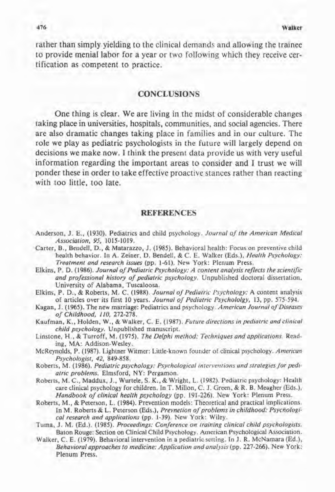rather than simply yielding to the clinical demands and allowing the trainee to provide menial labor for a year or two following which they receive certification as competent to practice.

### **CONCLUSIONS**

One thing is clear. We are living in the midst of considerable changes taking place in universities, hospitals, communities, and social agencies. There are also dramatic changes taking place in families and in our culture. The role we play as pediatric psychologists in the future will largely depend on decisions we make now. I think the present data provide us with very useful information regarding the important areas to consider and I trust we will ponder these in order to take effective proactive stances rather than reacting with too little, too late.

#### **REFERENCES**

- Anderson. J. E., (1930). Pediatrics and child psychology. *Journal of the American Medical Association, 95,* 1015-1019.
- Carter, B., Bendell, D., & Matarazzo, J. (1985). Behavioral health: Focus on preventive child health behavior. In A. Zeiner, D. Bendell, & C. E. Walker (Eds.), *Health Psychology: Treatment and research issues* (pp. 1-61). New York: Plenum Press.
- Elkins. P. D. (1986). *Journal of Pediatric Psychology: A content analysis reflects the scientific and professional history of pediatric psychology.* Unpublished doctoral dissertation. University of Alabama, Tuscaloosa.
- Elkins, P. D., & Roberts, M. C. (1988). *Journal of Pediatric Psychology:* A content analysis of articles over its first 10 years. *Journal of Pediatric Psychololgy,* 13, pp. 575-594.
- Kagan, J. (1%5). The new marriage: Pediatrics and psychology. *American Journal of Diseases of Childhood, 110,* 272-278.
- Kaufman, K., Holden, W., & Walker, C. E. (1987). *Future directions in pediatric and clinical child psychology.* Unpublished manuscript.
- Linstone, H., & Turroff, M. (1975). *The Delphi method: Techniques and applications.* Reading. MA: Addison-Wesley.
- McReynolds, P. (1987). Lightner Witrner: Little-known founder of clinical psychology. *American Psychologist,* 42, 849-858.
- Roberts, M. (1986). *Pediatric psychology: Psychological interventions and strategies for pediatric problems.* Elmsford, *NY:* Pergamon.
- Roberts, M. C., Maddux, J., Wurtele, S. K., & Wright, L. (1982). Pediatric psychology: Health care clinical psychology for children. In T. Millon, C. J. Green, & R. B. Meagher (Eds.), *Handbook of clinical health psychology* @p. 191-226). New York: Plenum Press.
- Roberts, M., & Peterson, L. (1984). Prevention models: Theoretical and practical implications. In M. Roberts & L. Peterson (Eds.), *Prevnetion of problems in childhood: Psychological research and applications* (pp. 1-39). New York: Wiley.
- Tuma, J. M. (Ed.). (1985). *Proceedings: Conference on training clinical child psychologists.*  Baton Rouge: Section on Clinical Child Psychology. American Psychological Association.
- Walker, C. E. (1979). Behavioral intervention in a pediatric setting. In J. R. McNamara (Ed.), *Behavioral approaches to medicine: Application and analysis* (pp. 227-266). New York: Plenum Press.